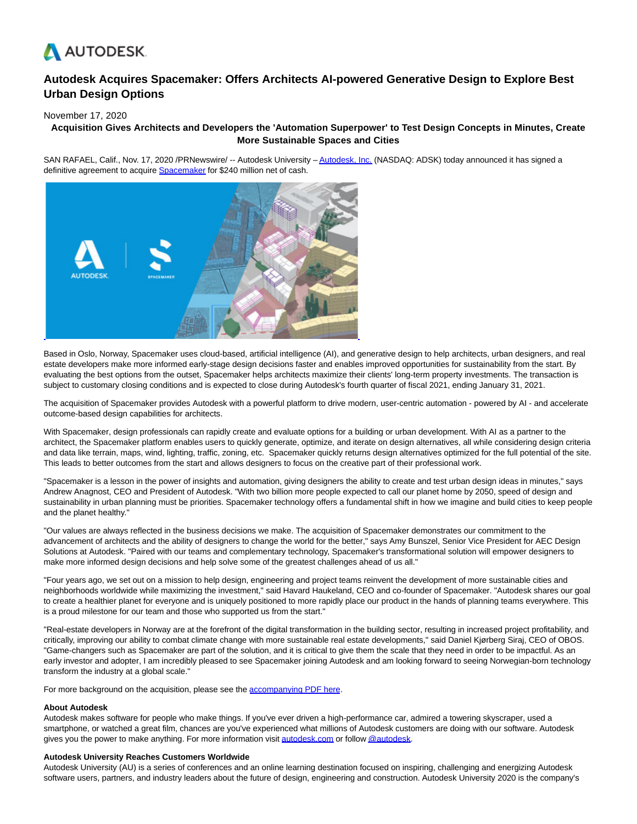

# **Autodesk Acquires Spacemaker: Offers Architects AI-powered Generative Design to Explore Best Urban Design Options**

## November 17, 2020

# **Acquisition Gives Architects and Developers the 'Automation Superpower' to Test Design Concepts in Minutes, Create More Sustainable Spaces and Cities**

SAN RAFAEL, Calif., Nov. 17, 2020 /PRNewswire/ -- Autodesk University - Autodesk. Inc. (NASDAQ: ADSK) today announced it has signed a definitive agreement to acquire **Spacemaker** for \$240 million net of cash.



Based in Oslo, Norway, Spacemaker uses cloud-based, artificial intelligence (AI), and generative design to help architects, urban designers, and real estate developers make more informed early-stage design decisions faster and enables improved opportunities for sustainability from the start. By evaluating the best options from the outset, Spacemaker helps architects maximize their clients' long-term property investments. The transaction is subject to customary closing conditions and is expected to close during Autodesk's fourth quarter of fiscal 2021, ending January 31, 2021.

The acquisition of Spacemaker provides Autodesk with a powerful platform to drive modern, user-centric automation - powered by AI - and accelerate outcome-based design capabilities for architects.

With Spacemaker, design professionals can rapidly create and evaluate options for a building or urban development. With AI as a partner to the architect, the Spacemaker platform enables users to quickly generate, optimize, and iterate on design alternatives, all while considering design criteria and data like terrain, maps, wind, lighting, traffic, zoning, etc. Spacemaker quickly returns design alternatives optimized for the full potential of the site. This leads to better outcomes from the start and allows designers to focus on the creative part of their professional work.

"Spacemaker is a lesson in the power of insights and automation, giving designers the ability to create and test urban design ideas in minutes," says Andrew Anagnost, CEO and President of Autodesk. "With two billion more people expected to call our planet home by 2050, speed of design and sustainability in urban planning must be priorities. Spacemaker technology offers a fundamental shift in how we imagine and build cities to keep people and the planet healthy."

"Our values are always reflected in the business decisions we make. The acquisition of Spacemaker demonstrates our commitment to the advancement of architects and the ability of designers to change the world for the better," says Amy Bunszel, Senior Vice President for AEC Design Solutions at Autodesk. "Paired with our teams and complementary technology, Spacemaker's transformational solution will empower designers to make more informed design decisions and help solve some of the greatest challenges ahead of us all."

"Four years ago, we set out on a mission to help design, engineering and project teams reinvent the development of more sustainable cities and neighborhoods worldwide while maximizing the investment," said Havard Haukeland, CEO and co-founder of Spacemaker. "Autodesk shares our goal to create a healthier planet for everyone and is uniquely positioned to more rapidly place our product in the hands of planning teams everywhere. This is a proud milestone for our team and those who supported us from the start."

"Real-estate developers in Norway are at the forefront of the digital transformation in the building sector, resulting in increased project profitability, and critically, improving our ability to combat climate change with more sustainable real estate developments," said Daniel Kjørberg Siraj, CEO of OBOS. "Game-changers such as Spacemaker are part of the solution, and it is critical to give them the scale that they need in order to be impactful. As an early investor and adopter, I am incredibly pleased to see Spacemaker joining Autodesk and am looking forward to seeing Norwegian-born technology transform the industry at a global scale."

For more background on the acquisition, please see the [accompanying PDF here.](https://c212.net/c/link/?t=0&l=en&o=2983446-1&h=1835077168&u=https%3A%2F%2Fadsknews.autodesk.com%2Fapp%2Fuploads%2F2020%2F11%2FSpacemaker-Deck-Final-1.pdf&a=accompanying+PDF+here)

#### **About Autodesk**

Autodesk makes software for people who make things. If you've ever driven a high-performance car, admired a towering skyscraper, used a smartphone, or watched a great film, chances are you've experienced what millions of Autodesk customers are doing with our software. Autodesk gives you the power to make anything. For more information visit [autodesk.com o](http://autodesk.com/)r follo[w @autodesk.](https://c212.net/c/link/?t=0&l=en&o=2983446-1&h=3480290728&u=https%3A%2F%2Ftwitter.com%2Fautodesk&a=%40autodesk)

#### **Autodesk University Reaches Customers Worldwide**

Autodesk University (AU) is a series of conferences and an online learning destination focused on inspiring, challenging and energizing Autodesk software users, partners, and industry leaders about the future of design, engineering and construction. Autodesk University 2020 is the company's